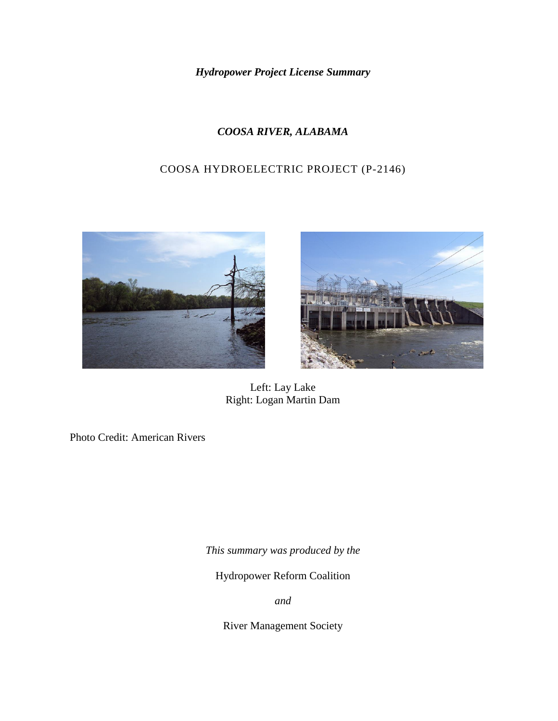*Hydropower Project License Summary*

# *COOSA RIVER, ALABAMA*

# COOSA HYDROELECTRIC PROJECT (P-2146)





Left: Lay Lake Right: Logan Martin Dam

Photo Credit: American Rivers

*This summary was produced by the*

Hydropower Reform Coalition

*and*

River Management Society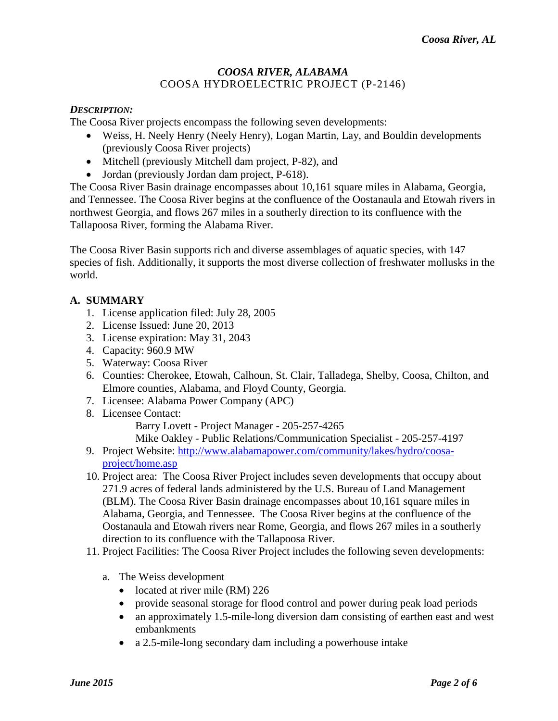### *COOSA RIVER, ALABAMA* COOSA HYDROELECTRIC PROJECT (P-2146)

### *DESCRIPTION:*

The Coosa River projects encompass the following seven developments:

- Weiss, H. Neely Henry (Neely Henry), Logan Martin, Lay, and Bouldin developments (previously Coosa River projects)
- Mitchell (previously Mitchell dam project, P-82), and
- Jordan (previously Jordan dam project, P-618).

The Coosa River Basin drainage encompasses about 10,161 square miles in Alabama, Georgia, and Tennessee. The Coosa River begins at the confluence of the Oostanaula and Etowah rivers in northwest Georgia, and flows 267 miles in a southerly direction to its confluence with the Tallapoosa River, forming the Alabama River.

The Coosa River Basin supports rich and diverse assemblages of aquatic species, with 147 species of fish. Additionally, it supports the most diverse collection of freshwater mollusks in the world.

## **A. SUMMARY**

- 1. License application filed: July 28, 2005
- 2. License Issued: June 20, 2013
- 3. License expiration: May 31, 2043
- 4. Capacity: 960.9 MW
- 5. Waterway: Coosa River
- 6. Counties: Cherokee, Etowah, Calhoun, St. Clair, Talladega, Shelby, Coosa, Chilton, and Elmore counties, Alabama, and Floyd County, Georgia.
- 7. Licensee: Alabama Power Company (APC)
- 8. Licensee Contact:

Barry Lovett - Project Manager - 205-257-4265

Mike Oakley - Public Relations/Communication Specialist - 205-257-4197

- 9. Project Website: [http://www.alabamapower.com/community/lakes/hydro/coosa](http://www.alabamapower.com/community/lakes/hydro/coosa-project/home.asp)[project/home.asp](http://www.alabamapower.com/community/lakes/hydro/coosa-project/home.asp)
- 10. Project area: The Coosa River Project includes seven developments that occupy about 271.9 acres of federal lands administered by the U.S. Bureau of Land Management (BLM). The Coosa River Basin drainage encompasses about 10,161 square miles in Alabama, Georgia, and Tennessee. The Coosa River begins at the confluence of the Oostanaula and Etowah rivers near Rome, Georgia, and flows 267 miles in a southerly direction to its confluence with the Tallapoosa River.
- 11. Project Facilities: The Coosa River Project includes the following seven developments:
	- a. The Weiss development
		- located at river mile (RM) 226
		- provide seasonal storage for flood control and power during peak load periods
		- an approximately 1.5-mile-long diversion dam consisting of earthen east and west embankments
		- a 2.5-mile-long secondary dam including a powerhouse intake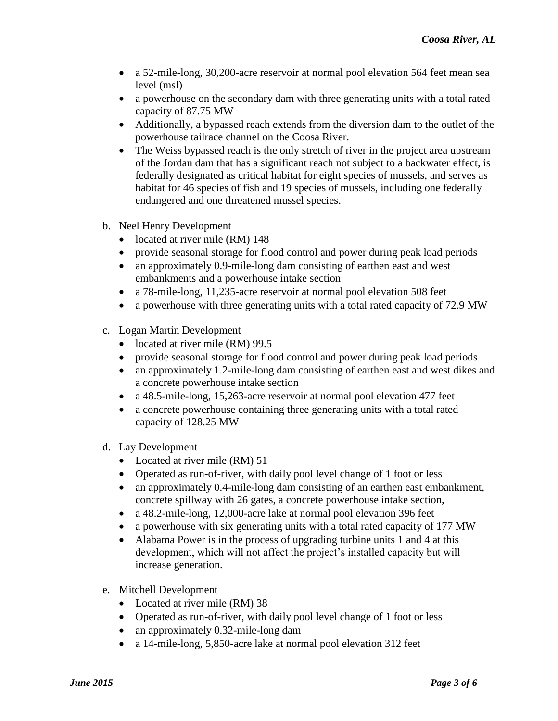- a 52-mile-long, 30,200-acre reservoir at normal pool elevation 564 feet mean sea level (msl)
- a powerhouse on the secondary dam with three generating units with a total rated capacity of 87.75 MW
- Additionally, a bypassed reach extends from the diversion dam to the outlet of the powerhouse tailrace channel on the Coosa River.
- The Weiss bypassed reach is the only stretch of river in the project area upstream of the Jordan dam that has a significant reach not subject to a backwater effect, is federally designated as critical habitat for eight species of mussels, and serves as habitat for 46 species of fish and 19 species of mussels, including one federally endangered and one threatened mussel species.
- b. Neel Henry Development
	- located at river mile (RM) 148
	- provide seasonal storage for flood control and power during peak load periods
	- an approximately 0.9-mile-long dam consisting of earthen east and west embankments and a powerhouse intake section
	- a 78-mile-long, 11,235-acre reservoir at normal pool elevation 508 feet
	- a powerhouse with three generating units with a total rated capacity of 72.9 MW
- c. Logan Martin Development
	- located at river mile (RM) 99.5
	- provide seasonal storage for flood control and power during peak load periods
	- an approximately 1.2-mile-long dam consisting of earthen east and west dikes and a concrete powerhouse intake section
	- a 48.5-mile-long, 15,263-acre reservoir at normal pool elevation 477 feet
	- a concrete powerhouse containing three generating units with a total rated capacity of 128.25 MW
- d. Lay Development
	- Located at river mile (RM) 51
	- Operated as run-of-river, with daily pool level change of 1 foot or less
	- an approximately 0.4-mile-long dam consisting of an earthen east embankment, concrete spillway with 26 gates, a concrete powerhouse intake section,
	- a 48.2-mile-long, 12,000-acre lake at normal pool elevation 396 feet
	- a powerhouse with six generating units with a total rated capacity of 177 MW
	- Alabama Power is in the process of upgrading turbine units 1 and 4 at this development, which will not affect the project's installed capacity but will increase generation.
- e. Mitchell Development
	- Located at river mile (RM) 38
	- Operated as run-of-river, with daily pool level change of 1 foot or less
	- an approximately 0.32-mile-long dam
	- a 14-mile-long, 5,850-acre lake at normal pool elevation 312 feet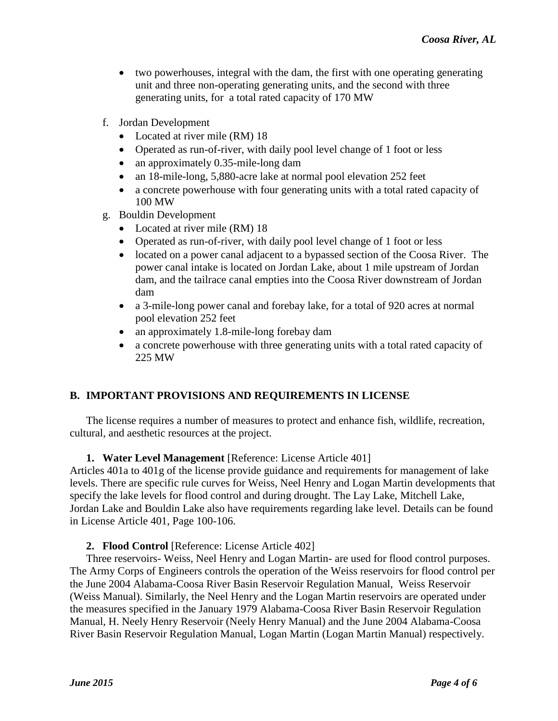- two powerhouses, integral with the dam, the first with one operating generating unit and three non-operating generating units, and the second with three generating units, for a total rated capacity of 170 MW
- f. Jordan Development
	- Located at river mile (RM) 18
	- Operated as run-of-river, with daily pool level change of 1 foot or less
	- an approximately 0.35-mile-long dam
	- an 18-mile-long, 5,880-acre lake at normal pool elevation 252 feet
	- a concrete powerhouse with four generating units with a total rated capacity of 100 MW
- g. Bouldin Development
	- Located at river mile (RM) 18
	- Operated as run-of-river, with daily pool level change of 1 foot or less
	- located on a power canal adjacent to a bypassed section of the Coosa River. The power canal intake is located on Jordan Lake, about 1 mile upstream of Jordan dam, and the tailrace canal empties into the Coosa River downstream of Jordan dam
	- a 3-mile-long power canal and forebay lake, for a total of 920 acres at normal pool elevation 252 feet
	- an approximately 1.8-mile-long forebay dam
	- a concrete powerhouse with three generating units with a total rated capacity of 225 MW

# **B. IMPORTANT PROVISIONS AND REQUIREMENTS IN LICENSE**

The license requires a number of measures to protect and enhance fish, wildlife, recreation, cultural, and aesthetic resources at the project.

### **1. Water Level Management** [Reference: License Article 401]

Articles 401a to 401g of the license provide guidance and requirements for management of lake levels. There are specific rule curves for Weiss, Neel Henry and Logan Martin developments that specify the lake levels for flood control and during drought. The Lay Lake, Mitchell Lake, Jordan Lake and Bouldin Lake also have requirements regarding lake level. Details can be found in License Article 401, Page 100-106.

### **2. Flood Control** [Reference: License Article 402]

Three reservoirs- Weiss, Neel Henry and Logan Martin- are used for flood control purposes. The Army Corps of Engineers controls the operation of the Weiss reservoirs for flood control per the June 2004 Alabama-Coosa River Basin Reservoir Regulation Manual, Weiss Reservoir (Weiss Manual). Similarly, the Neel Henry and the Logan Martin reservoirs are operated under the measures specified in the January 1979 Alabama-Coosa River Basin Reservoir Regulation Manual, H. Neely Henry Reservoir (Neely Henry Manual) and the June 2004 Alabama-Coosa River Basin Reservoir Regulation Manual, Logan Martin (Logan Martin Manual) respectively.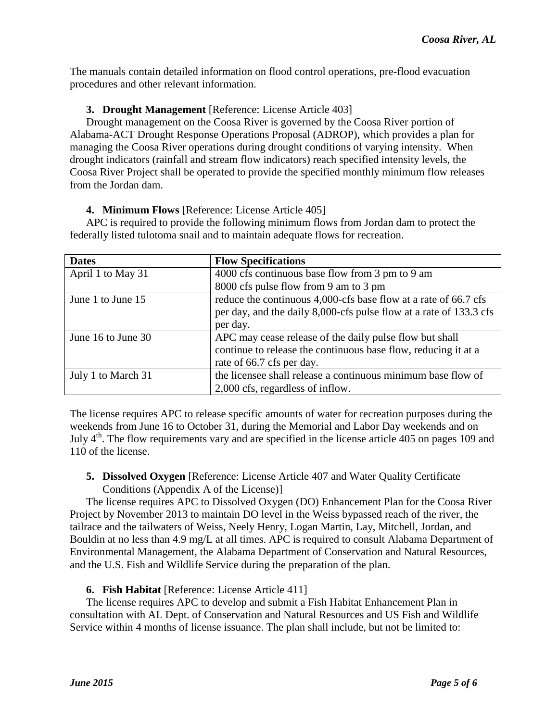The manuals contain detailed information on flood control operations, pre-flood evacuation procedures and other relevant information.

## **3. Drought Management** [Reference: License Article 403]

Drought management on the Coosa River is governed by the Coosa River portion of Alabama-ACT Drought Response Operations Proposal (ADROP), which provides a plan for managing the Coosa River operations during drought conditions of varying intensity. When drought indicators (rainfall and stream flow indicators) reach specified intensity levels, the Coosa River Project shall be operated to provide the specified monthly minimum flow releases from the Jordan dam.

### **4. Minimum Flows** [Reference: License Article 405]

APC is required to provide the following minimum flows from Jordan dam to protect the federally listed tulotoma snail and to maintain adequate flows for recreation.

| <b>Dates</b>       | <b>Flow Specifications</b>                                         |
|--------------------|--------------------------------------------------------------------|
| April 1 to May 31  | 4000 cfs continuous base flow from 3 pm to 9 am                    |
|                    | 8000 cfs pulse flow from 9 am to 3 pm                              |
| June 1 to June 15  | reduce the continuous 4,000-cfs base flow at a rate of 66.7 cfs    |
|                    | per day, and the daily 8,000-cfs pulse flow at a rate of 133.3 cfs |
|                    | per day.                                                           |
| June 16 to June 30 | APC may cease release of the daily pulse flow but shall            |
|                    | continue to release the continuous base flow, reducing it at a     |
|                    | rate of 66.7 cfs per day.                                          |
| July 1 to March 31 | the licensee shall release a continuous minimum base flow of       |
|                    | 2,000 cfs, regardless of inflow.                                   |

The license requires APC to release specific amounts of water for recreation purposes during the weekends from June 16 to October 31, during the Memorial and Labor Day weekends and on July  $4<sup>th</sup>$ . The flow requirements vary and are specified in the license article 405 on pages 109 and 110 of the license.

**5. Dissolved Oxygen** [Reference: License Article 407 and Water Quality Certificate Conditions (Appendix A of the License)]

The license requires APC to Dissolved Oxygen (DO) Enhancement Plan for the Coosa River Project by November 2013 to maintain DO level in the Weiss bypassed reach of the river, the tailrace and the tailwaters of Weiss, Neely Henry, Logan Martin, Lay, Mitchell, Jordan, and Bouldin at no less than 4.9 mg/L at all times. APC is required to consult Alabama Department of Environmental Management, the Alabama Department of Conservation and Natural Resources, and the U.S. Fish and Wildlife Service during the preparation of the plan.

# **6. Fish Habitat** [Reference: License Article 411]

The license requires APC to develop and submit a Fish Habitat Enhancement Plan in consultation with AL Dept. of Conservation and Natural Resources and US Fish and Wildlife Service within 4 months of license issuance. The plan shall include, but not be limited to: